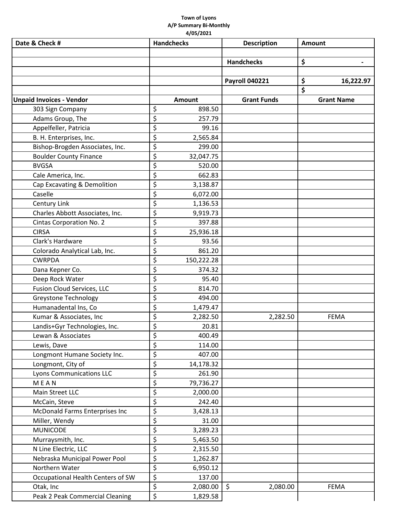## **Town of Lyons A/P Summary Bi-Monthly 4/05/2021**

| Date & Check #                    | <b>Handchecks</b> | <b>Description</b>    | <b>Amount</b>     |
|-----------------------------------|-------------------|-----------------------|-------------------|
|                                   |                   |                       |                   |
|                                   |                   | <b>Handchecks</b>     | \$                |
|                                   |                   |                       |                   |
|                                   |                   | <b>Payroll 040221</b> | \$<br>16,222.97   |
|                                   |                   |                       | \$                |
| <b>Unpaid Invoices - Vendor</b>   | <b>Amount</b>     | <b>Grant Funds</b>    | <b>Grant Name</b> |
| 303 Sign Company                  | \$<br>898.50      |                       |                   |
| Adams Group, The                  | \$<br>257.79      |                       |                   |
| Appelfeller, Patricia             | \$<br>99.16       |                       |                   |
| B. H. Enterprises, Inc.           | \$<br>2,565.84    |                       |                   |
| Bishop-Brogden Associates, Inc.   | \$<br>299.00      |                       |                   |
| <b>Boulder County Finance</b>     | \$<br>32,047.75   |                       |                   |
| <b>BVGSA</b>                      | \$<br>520.00      |                       |                   |
| Cale America, Inc.                | \$<br>662.83      |                       |                   |
| Cap Excavating & Demolition       | \$<br>3,138.87    |                       |                   |
| Caselle                           | \$<br>6,072.00    |                       |                   |
| Century Link                      | \$<br>1,136.53    |                       |                   |
| Charles Abbott Associates, Inc.   | \$<br>9,919.73    |                       |                   |
| Cintas Corporation No. 2          | \$<br>397.88      |                       |                   |
| <b>CIRSA</b>                      | \$<br>25,936.18   |                       |                   |
| Clark's Hardware                  | \$<br>93.56       |                       |                   |
| Colorado Analytical Lab, Inc.     | \$<br>861.20      |                       |                   |
| <b>CWRPDA</b>                     | \$<br>150,222.28  |                       |                   |
| Dana Kepner Co.                   | \$<br>374.32      |                       |                   |
| Deep Rock Water                   | \$<br>95.40       |                       |                   |
| <b>Fusion Cloud Services, LLC</b> | \$<br>814.70      |                       |                   |
| Greystone Technology              | \$<br>494.00      |                       |                   |
| Humanadental Ins, Co              | \$<br>1,479.47    |                       |                   |
| Kumar & Associates, Inc           | \$<br>2,282.50    | 2,282.50              | <b>FEMA</b>       |
| Landis+Gyr Technologies, Inc.     | \$<br>20.81       |                       |                   |
| Lewan & Associates                | \$<br>400.49      |                       |                   |
| Lewis, Dave                       | \$<br>114.00      |                       |                   |
| Longmont Humane Society Inc.      | \$<br>407.00      |                       |                   |
| Longmont, City of                 | \$<br>14,178.32   |                       |                   |
| <b>Lyons Communications LLC</b>   | \$<br>261.90      |                       |                   |
| MEAN                              | \$<br>79,736.27   |                       |                   |
| Main Street LLC                   | \$<br>2,000.00    |                       |                   |
| McCain, Steve                     | \$<br>242.40      |                       |                   |
| McDonald Farms Enterprises Inc    | \$<br>3,428.13    |                       |                   |
| Miller, Wendy                     | \$<br>31.00       |                       |                   |
| <b>MUNICODE</b>                   | \$<br>3,289.23    |                       |                   |
| Murraysmith, Inc.                 | \$<br>5,463.50    |                       |                   |
| N Line Electric, LLC              | \$<br>2,315.50    |                       |                   |
| Nebraska Municipal Power Pool     | \$<br>1,262.87    |                       |                   |
| Northern Water                    | \$<br>6,950.12    |                       |                   |
| Occupational Health Centers of SW | \$<br>137.00      |                       |                   |
| Otak, Inc                         | \$<br>2,080.00    | $\zeta$<br>2,080.00   | <b>FEMA</b>       |
| Peak 2 Peak Commercial Cleaning   | \$<br>1,829.58    |                       |                   |